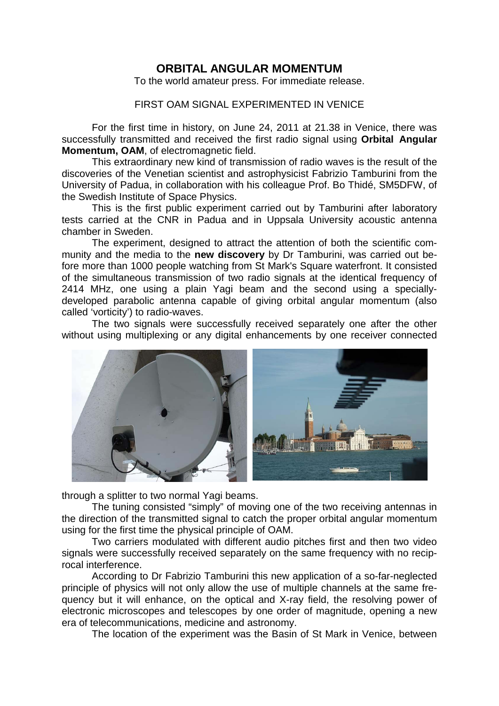## **ORBITAL ANGULAR MOMENTUM**

To the world amateur press. For immediate release.

## FIRST OAM SIGNAL EXPERIMENTED IN VENICE

 For the first time in history, on June 24, 2011 at 21.38 in Venice, there was successfully transmitted and received the first radio signal using **Orbital Angular Momentum, OAM**, of electromagnetic field.

 This extraordinary new kind of transmission of radio waves is the result of the discoveries of the Venetian scientist and astrophysicist Fabrizio Tamburini from the University of Padua, in collaboration with his colleague Prof. Bo Thidé, SM5DFW, of the Swedish Institute of Space Physics.

 This is the first public experiment carried out by Tamburini after laboratory tests carried at the CNR in Padua and in Uppsala University acoustic antenna chamber in Sweden.

 The experiment, designed to attract the attention of both the scientific community and the media to the **new discovery** by Dr Tamburini, was carried out before more than 1000 people watching from St Mark's Square waterfront. It consisted of the simultaneous transmission of two radio signals at the identical frequency of 2414 MHz, one using a plain Yagi beam and the second using a speciallydeveloped parabolic antenna capable of giving orbital angular momentum (also called 'vorticity') to radio-waves.

 The two signals were successfully received separately one after the other without using multiplexing or any digital enhancements by one receiver connected



through a splitter to two normal Yagi beams.

 The tuning consisted "simply" of moving one of the two receiving antennas in the direction of the transmitted signal to catch the proper orbital angular momentum using for the first time the physical principle of OAM.

 Two carriers modulated with different audio pitches first and then two video signals were successfully received separately on the same frequency with no reciprocal interference.

 According to Dr Fabrizio Tamburini this new application of a so-far-neglected principle of physics will not only allow the use of multiple channels at the same frequency but it will enhance, on the optical and X-ray field, the resolving power of electronic microscopes and telescopes by one order of magnitude, opening a new era of telecommunications, medicine and astronomy.

The location of the experiment was the Basin of St Mark in Venice, between